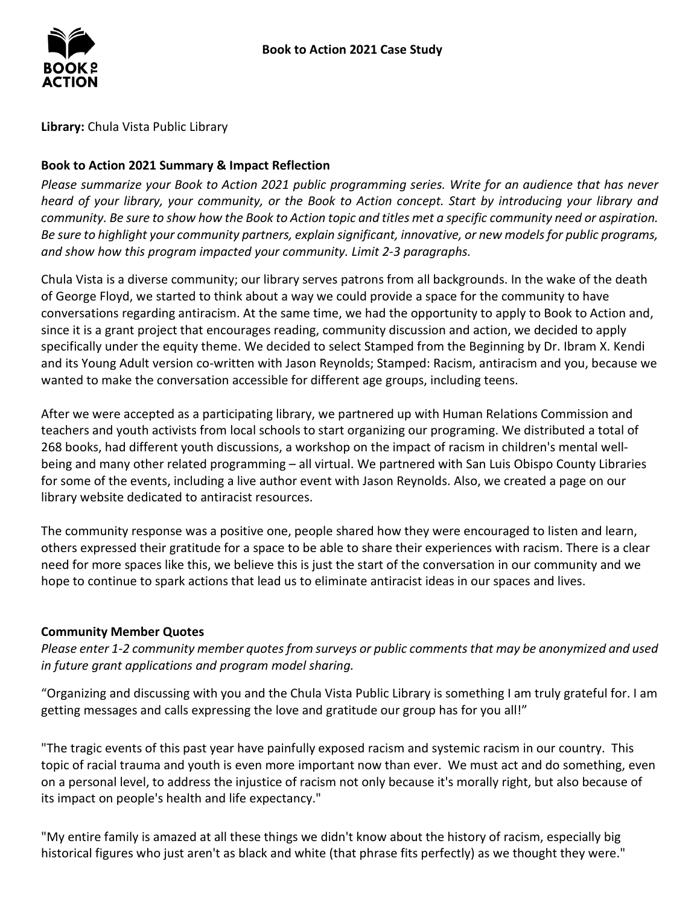

**Library:** Chula Vista Public Library

## **Book to Action 2021 Summary & Impact Reflection**

*Please summarize your Book to Action 2021 public programming series. Write for an audience that has never heard of your library, your community, or the Book to Action concept. Start by introducing your library and community. Be sure to show how the Book to Action topic and titles met a specific community need or aspiration. Be sure to highlight your community partners, explain significant, innovative, or new models for public programs, and show how this program impacted your community. Limit 2-3 paragraphs.* 

 Chula Vista is a diverse community; our library serves patrons from all backgrounds. In the wake of the death of George Floyd, we started to think about a way we could provide a space for the community to have conversations regarding antiracism. At the same time, we had the opportunity to apply to Book to Action and, specifically under the equity theme. We decided to select Stamped from the Beginning by Dr. Ibram X. Kendi and its Young Adult version co-written with Jason Reynolds; Stamped: Racism, antiracism and you, because we since it is a grant project that encourages reading, community discussion and action, we decided to apply wanted to make the conversation accessible for different age groups, including teens.

 268 books, had different youth discussions, a workshop on the impact of racism in children's mental well- for some of the events, including a live author event with Jason Reynolds. Also, we created a page on our library website dedicated to antiracist resources. After we were accepted as a participating library, we partnered up with Human Relations Commission and teachers and youth activists from local schools to start organizing our programing. We distributed a total of being and many other related programming – all virtual. We partnered with San Luis Obispo County Libraries

 others expressed their gratitude for a space to be able to share their experiences with racism. There is a clear hope to continue to spark actions that lead us to eliminate antiracist ideas in our spaces and lives. The community response was a positive one, people shared how they were encouraged to listen and learn, need for more spaces like this, we believe this is just the start of the conversation in our community and we

## **Community Member Quotes**

*Please enter 1-2 community member quotes from surveys or public comments that may be anonymized and used in future grant applications and program model sharing.* 

getting messages and calls expressing the love and gratitude our group has for you all!" "Organizing and discussing with you and the Chula Vista Public Library is something I am truly grateful for. I am

getting messages and calls expressing the love and gratitude our group has for you all!"<br>"The tragic events of this past year have painfully exposed racism and systemic racism in our country. This topic of racial trauma and youth is even more important now than ever. We must act and do something, even its impact on people's health and life expectancy." on a personal level, to address the injustice of racism not only because it's morally right, but also because of

 "My entire family is amazed at all these things we didn't know about the history of racism, especially big historical figures who just aren't as black and white (that phrase fits perfectly) as we thought they were."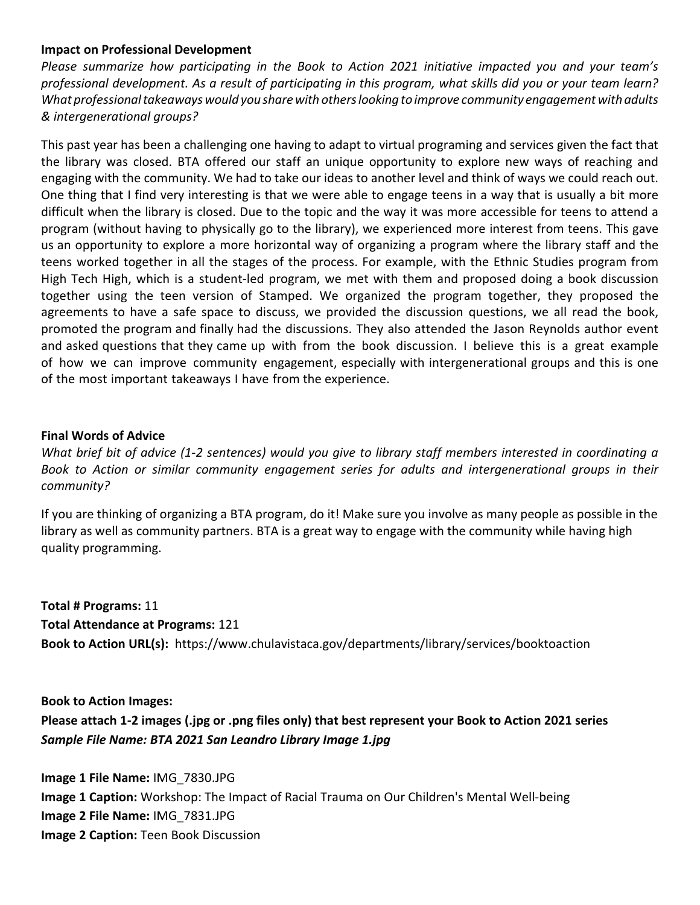### **Impact on Professional Development**

 *What professional takeaways would you share with others looking to improve community engagement with adults & intergenerational groups? Please summarize how participating in the Book to Action 2021 initiative impacted you and your team's professional development. As a result of participating in this program, what skills did you or your team learn?* 

 This past year has been a challenging one having to adapt to virtual programing and services given the fact that the library was closed. BTA offered our staff an unique opportunity to explore new ways of reaching and engaging with the community. We had to take our ideas to another level and think of ways we could reach out. One thing that I find very interesting is that we were able to engage teens in a way that is usually a bit more difficult when the library is closed. Due to the topic and the way it was more accessible for teens to attend a us an opportunity to explore a more horizontal way of organizing a program where the library staff and the teens worked together in all the stages of the process. For example, with the Ethnic Studies program from High Tech High, which is a student-led program, we met with them and proposed doing a book discussion together using the teen version of Stamped. We organized the program together, they proposed the and asked questions that they came up with from the book discussion. I believe this is a great example of how we can improve community engagement, especially with intergenerational groups and this is one program (without having to physically go to the library), we experienced more interest from teens. This gave agreements to have a safe space to discuss, we provided the discussion questions, we all read the book, promoted the program and finally had the discussions. They also attended the Jason Reynolds author event of the most important takeaways I have from the experience.

#### **Final Words of Advice**

*What brief bit of advice (1-2 sentences) would you give to library staff members interested in coordinating a Book to Action or similar community engagement series for adults and intergenerational groups in their community?* 

 If you are thinking of organizing a BTA program, do it! Make sure you involve as many people as possible in the library as well as community partners. BTA is a great way to engage with the community while having high quality programming.

 **Total # Programs:** 11 **Total Attendance at Programs:** 121 **Book to Action URL(s):** https://www.chulavistaca.gov/departments/library/services/booktoaction

 **Book to Action Images: Please attach 1-2 images (.jpg or .png files only) that best represent your Book to Action 2021 series**   *Sample File Name: BTA 2021 San Leandro Library Image 1.jpg* 

**Image 1 File Name:** IMG\_7830.JPG **Image 1 Caption:** Workshop: The Impact of Racial Trauma on Our Children's Mental Well-being **Image 2 File Name:** IMG\_7831.JPG **Image 2 Caption:** Teen Book Discussion